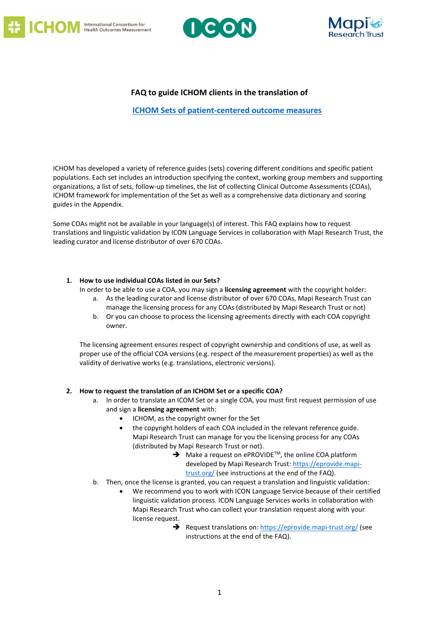





# **FAQ to guide ICHOM clients in the translation of**

**[ICHOM Sets of patient-centered outcome measures](https://www.ichom.org/patient-centered-outcome-measures/)**

ICHOM has developed a variety of reference guides (sets) covering different conditions and specific patient populations. Each set includes an introduction specifying the context, working group members and supporting organizations, a list of sets, follow-up timelines, the list of collecting Clinical Outcome Assessments (COAs), ICHOM framework for implementation of the Set as well as a comprehensive data dictionary and scoring guides in the Appendix.

Some COAs might not be available in your language(s) of interest. This FAQ explains how to request translations and linguistic validation by ICON Language Services in collaboration with Mapi Research Trust, the leading curator and license distributor of over 670 COAs.

## **1. How to use individual COAs listed in our Sets?**

In order to be able to use a COA, you may sign a **licensing agreement** with the copyright holder:

- a. As the leading curator and license distributor of over 670 COAs, Mapi Research Trust can manage the licensing process for any COAs (distributed by Mapi Research Trust or not)
- b. Or you can choose to process the licensing agreements directly with each COA copyright owner.

The licensing agreement ensures respect of copyright ownership and conditions of use, as well as proper use of the official COA versions (e.g. respect of the measurement properties) as well as the validity of derivative works (e.g. translations, electronic versions).

## **2. How to request the translation of an ICHOM Set or a specific COA?**

- a. In order to translate an ICOM Set or a single COA, you must first request permission of use and sign a **licensing agreement** with:
	- ICHOM, as the copyright owner for the Set
	- the copyright holders of each COA included in the relevant reference guide. Mapi Research Trust can manage for you the licensing process for any COAs (distributed by Mapi Research Trust or not).
		- $\rightarrow$  Make a request on ePROVIDE<sup>TM</sup>, the online COA platform developed by Mapi Research Trust[: https://eprovide.mapi](https://eprovide.mapi-trust.org/)[trust.org/](https://eprovide.mapi-trust.org/) (see instructions at the end of the FAQ).
- b. Then, once the license is granted, you can request a translation and linguistic validation:
	- We recommend you to work with ICON Language Service because of their certified linguistic validation process. ICON Language Services works in collaboration with Mapi Research Trust who can collect your translation request along with your license request.
		- Request translations on: <https://eprovide.mapi-trust.org/> (see instructions at the end of the FAQ).